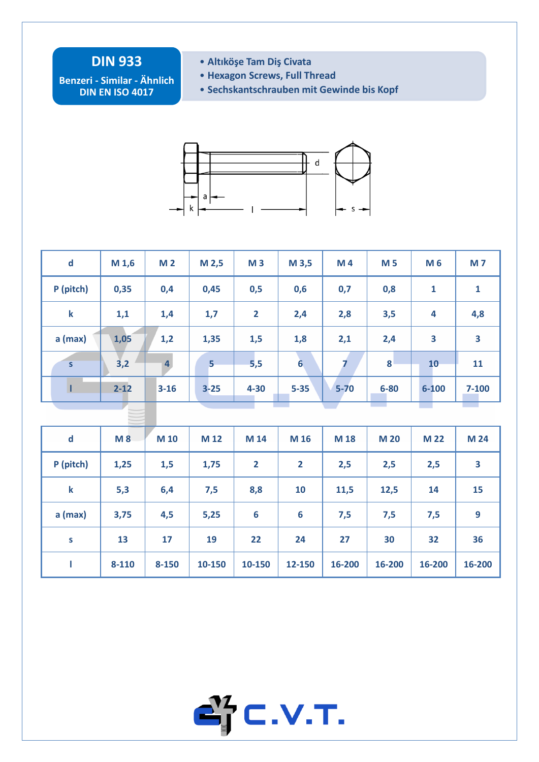## **DIN 933**

**Benzeri - Similar - Ähnlich DIN EN ISO 4017**

- **Altıköşe Tam Diş Civata**
- **Hexagon Screws, Full Thread**
- **Sechskantschrauben mit Gewinde bis Kopf**



| $\mathbf d$             | M <sub>1,6</sub> | M <sub>2</sub> | M <sub>2,5</sub> | M <sub>3</sub> | M 3,5            | M4       | <b>M5</b>  | M 6                     | <b>M7</b>               |  |
|-------------------------|------------------|----------------|------------------|----------------|------------------|----------|------------|-------------------------|-------------------------|--|
| P (pitch)               | 0,35             | 0,4            | 0,45             | 0,5            | 0,6              | 0,7      | 0,8        | $\mathbf{1}$            | $\mathbf{1}$            |  |
| $\mathbf k$             | 1,1              | 1,4            | 1,7              | $\overline{2}$ | 2,4              | 2,8      | 3,5        | $\overline{\mathbf{4}}$ | 4,8                     |  |
| $a$ (max)               | 1,05             | 1,2            | 1,35             | 1,5            | 1,8              | 2,1      | 2,4        | 3                       | $\overline{\mathbf{3}}$ |  |
| $\overline{\mathsf{s}}$ | 3,2              | $\overline{4}$ | 5 <sup>1</sup>   | 5,5            | $6 \overline{6}$ | 7        | 8          | 10                      | 11                      |  |
| п                       | $2 - 12$         | $3 - 16$       | $3 - 25$         | $4 - 30$       | $5 - 35$         | $5 - 70$ | $6 - 80$   | $6 - 100$               | $7 - 100$               |  |
|                         |                  |                |                  |                |                  |          |            |                         |                         |  |
|                         |                  |                |                  |                |                  |          |            |                         |                         |  |
| $\mathbf d$             | M8               | M 10           | M 12             | M 14           | M 16             | M 18     | <b>M20</b> | <b>M22</b>              | M 24                    |  |
| P (pitch)               | 1,25             | 1,5            | 1,75             | $\overline{2}$ | $\overline{2}$   | 2,5      | 2,5        | 2,5                     | 3                       |  |
| $\mathbf k$             | 5,3              | 6,4            | 7,5              | 8,8            | 10               | 11,5     | 12,5       | 14                      | 15                      |  |
| $a$ (max)               | 3,75             | 4,5            | 5,25             | 6              | 6                | 7,5      | 7,5        | 7,5                     | 9                       |  |
| S                       | 13               | 17             | 19               | 22             | 24               | 27       | 30         | 32                      | 36                      |  |